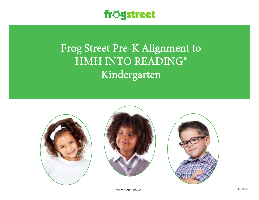

## Frog Street Pre-K Alignment to HMH INTO READING® Kindergarten







www.frogstreet.com exhibition is a state of the control of the control of the control of the control of the control of the control of the control of the control of the control of the control of the control of the control o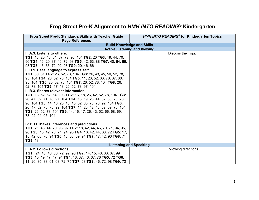## **Frog Street Pre-K Alignment to** *HMH INTO READING®* **Kindergarten**

| Frog Street Pre-K Standards/Skills with Teacher Guide                          | HMH INTO READING <sup>®</sup> for Kindergarten Topics           |
|--------------------------------------------------------------------------------|-----------------------------------------------------------------|
| <b>Page References</b>                                                         |                                                                 |
|                                                                                | <b>Build Knowledge and Skills</b>                               |
| III.A.3. Listens to others.                                                    | <b>Active Listening and Viewing</b><br><b>Discuss the Topic</b> |
| TG1: 13, 20, 46, 51, 67, 72, 98, 104 TG2: 20 TG3: 19, 44, 70,                  |                                                                 |
| 96 TG4: 16, 20, 37, 46, 72, 98 TG5: 42, 63, 88 TG7: 40, 64, 66,                |                                                                 |
| 93 TG8: 46, 66, 72, 92, 98 TG9: 20, 46, 66                                     |                                                                 |
| III.B.1. Uses language to express self.                                        |                                                                 |
| TG1: 50, 61 TG2: 26, 52, 78, 104 TG3: 26, 43, 45, 50, 52, 78,                  |                                                                 |
| 95, 104 TG4: 26, 52, 78, 104 TG5: 11, 26, 52, 63, 78, 87, 88,                  |                                                                 |
| 95, 104 TG6: 26, 52, 78, 104 TG7: 26, 52, 78, 104 TG8: 26,                     |                                                                 |
| 52, 78, 104 TG9: 17, 18, 26, 52, 78, 97, 104                                   |                                                                 |
| III.B.3. Shares relevant information.                                          |                                                                 |
| TG1: 18, 52, 62, 64, 103 TG2: 16, 18, 26, 42, 52, 78, 104 TG3:                 |                                                                 |
| 26, 47, 52, 71, 78, 97, 104 TG4: 18, 19, 26, 44, 52, 60, 70, 78,               |                                                                 |
| 96, 104 TG5: 14, 16, 26, 40, 45, 52, 66, 70, 78, 92, 104 TG6:                  |                                                                 |
| 26, 47, 52, 73, 78, 99, 104 TG7: 14, 26, 42, 43, 52, 69, 78, 104               |                                                                 |
| TG8: 26, 52, 78, 104 TG9: 14, 16, 17, 26, 43, 52, 66, 68, 69,                  |                                                                 |
| 78, 92, 94, 95, 104                                                            |                                                                 |
| IV.D.11. Makes inferences and predictions.                                     |                                                                 |
| <b>TG1:</b> 21, 43, 44, 70, 96, 97 <b>TG2:</b> 18, 42, 44, 46, 70, 71, 94, 95, |                                                                 |
| 96 TG3: 18, 42, 70, 71, 94, 96 TG4: 16, 42, 44, 68, 72 TG5: 17,                |                                                                 |
| 18, 42, 68, 70, 94 TG6: 18, 68, 69, 94 TG7: 17, 42, 96 TG8: 71                 |                                                                 |
| <b>TG9: 18</b>                                                                 |                                                                 |
| <b>Listening and Speaking</b>                                                  |                                                                 |
| III.A.2. Follows directions.                                                   | Following directions                                            |
| <b>TG1:</b> 24, 40, 46, 66, 72, 92, 98 <b>TG2:</b> 14, 15, 40, 66, 67, 99      |                                                                 |
| TG3: 15, 19, 47, 47, 94 TG4: 16, 37, 46, 67, 76 TG5: 72 TG6:                   |                                                                 |
| 11, 20, 35, 38, 61, 63, 72, 75 TG7: 63 TG8: 46, 72, 98 TG9: 72                 |                                                                 |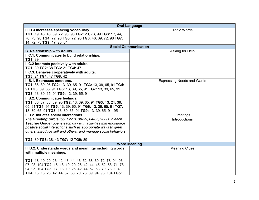| <b>Oral Language</b>                                             |                                   |
|------------------------------------------------------------------|-----------------------------------|
| III.D.3 Increases speaking vocabulary.                           | <b>Topic Words</b>                |
| TG1: 19, 46, 48, 69, 72, 96, 98 TG2: 20, 73, 99 TG3: 17, 44,     |                                   |
| 70, 73, 96 TG4: 72, 98 TG5: 72, 98 TG6: 46, 69, 72, 98 TG7:      |                                   |
| 14, 72, 73 TG9: 17, 20, 64                                       |                                   |
|                                                                  | <b>Social Communication</b>       |
| <b>C. Relationship with Adults</b>                               | Asking for Help                   |
| II.C.1. Communicates to build relationships.                     |                                   |
| TG1: 39                                                          |                                   |
| II.C.2 Interacts positively with adults.                         |                                   |
| TG1: 39 TG2: 38 TG3: 21 TG4: 47                                  |                                   |
| II.C.3. Behaves cooperatively with adults.                       |                                   |
| TG3: 21 TG4: 47 TG8: 42                                          |                                   |
| II.B.1. Expresses emotions.                                      | <b>Expressing Needs and Wants</b> |
| TG1: 86, 89, 95 TG2: 13, 39, 65, 91 TG3: 13, 39, 65, 91 TG4:     |                                   |
| 91 TG5: 39, 65, 91 TG6: 13, 39, 65, 91 TG7: 13, 39, 65, 91       |                                   |
| TG8: 13, 39, 65, 91 TG9: 13, 39, 65, 91                          |                                   |
| <b>II.B.2. Communicates feelings.</b>                            |                                   |
| TG1: 86, 87, 88, 89, 95 TG2: 13, 39, 65, 91 TG3: 13, 21, 39,     |                                   |
| 65, 91 TG4: 91 TG5: 13, 39, 65, 91 TG6: 13, 39, 65, 91 TG7:      |                                   |
| 13, 39, 65, 91 TG8: 13, 39, 65, 91 TG9: 13, 39, 65, 91, 95       |                                   |
| II.D.2. Initiates social interactions.                           | Greetings                         |
| The Greeting Circle (pp. 12-13, 38-39, 64-65, 90-91 in each      | <b>Introductions</b>              |
| Teacher Guide) opens each day with activities that encourage     |                                   |
| positive social interactions such as appropriate ways to greet   |                                   |
| others, introduce self and others, and manage social behaviors.  |                                   |
|                                                                  |                                   |
| TG2: 89 TG3: 38, 43 TG7: 12 TG9: 89                              |                                   |
| <b>Word Meaning</b>                                              |                                   |
| III.D.2. Understands words and meanings including words          | <b>Meaning Clues</b>              |
| with multiple meanings.                                          |                                   |
|                                                                  |                                   |
| TG1: 18, 19, 20, 26, 42, 43, 44, 46, 52, 68, 69, 72, 78, 94, 96, |                                   |
| 97, 98, 104 TG2: 16, 18, 19, 20, 26, 42, 44, 45, 52, 68, 71, 78, |                                   |
| 94, 95, 104 TG3: 17, 18, 19, 26, 42, 44, 52, 68, 70, 78, 104     |                                   |
| TG4: 16, 18, 26, 42, 44, 52, 68, 70, 78, 89, 94, 96, 104 TG5:    |                                   |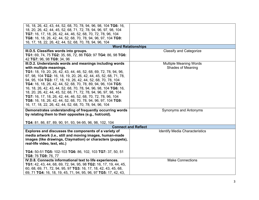| 16, 18, 26, 42, 43, 44, 52, 68, 70, 78, 94, 96, 98, 104 TG6: 16, |                                       |
|------------------------------------------------------------------|---------------------------------------|
| 18, 20, 26, 42, 44, 45, 52, 68, 71, 72, 78, 94, 96, 97, 98, 104  |                                       |
| TG7: 16, 17, 18, 26, 42, 44, 46, 52, 68, 70, 72, 78, 96, 104     |                                       |
| TG8: 16, 18, 26, 42, 44, 52, 68, 70, 78, 94, 96, 97, 104 TG9:    |                                       |
| 16, 17, 18, 22, 26, 42, 44, 52, 68, 70, 78, 94, 96, 104          |                                       |
|                                                                  | <b>Word Relationships</b>             |
| III.D.5. Classifies words into groups.                           | <b>Classify and Categorize</b>        |
| TG1: 69, 74, 75 TG2: 35, 66, 72, 86 TG3: 97 TG4: 86, 98 TG6:     |                                       |
| 42 TG7: 96, 98 TG9: 34, 96                                       |                                       |
| III.D.2. Understands words and meanings including words          | <b>Multiple Meaning Words</b>         |
| with multiple meanings.                                          | <b>Shades of Meaning</b>              |
| TG1: 18, 19, 20, 26, 42, 43, 44, 46, 52, 68, 69, 72, 78, 94, 96, |                                       |
| 97, 98, 104 TG2: 16, 18, 19, 20, 26, 42, 44, 45, 52, 68, 71, 78, |                                       |
| 94, 95, 104 TG3: 17, 18, 19, 26, 42, 44, 52, 68, 70, 78, 104     |                                       |
| TG4: 16, 18, 26, 42, 44, 52, 68, 70, 78, 89, 94, 96, 104 TG5:    |                                       |
| 16, 18, 26, 42, 43, 44, 52, 68, 70, 78, 94, 96, 98, 104 TG6: 16, |                                       |
| 18, 20, 26, 42, 44, 45, 52, 68, 71, 72, 78, 94, 96, 97, 98, 104  |                                       |
| TG7: 16, 17, 18, 26, 42, 44, 46, 52, 68, 70, 72, 78, 96, 104     |                                       |
| TG8: 16, 18, 26, 42, 44, 52, 68, 70, 78, 94, 96, 97, 104 TG9:    |                                       |
|                                                                  |                                       |
| 16, 17, 18, 22, 26, 42, 44, 52, 68, 70, 78, 94, 96, 104          |                                       |
| Demonstrates understanding of frequently occurring words         | Synonyms and Antonyms                 |
| by relating them to their opposites (e.g., hot/cold).            |                                       |
|                                                                  |                                       |
| TG4: 81, 86, 87, 89, 90, 91, 93, 94-95, 96, 98, 102, 104         |                                       |
|                                                                  | <b>Connect and Reflect</b>            |
| Explores and discusses the components of a variety of            | <b>Identify Media Characteristics</b> |
| media artwork (i.e., still and moving images, human-made         |                                       |
| images (like drawings, Claymation) or characters (puppets),      |                                       |
| real-life video, text, etc.)                                     |                                       |
|                                                                  |                                       |
| TG4: 50-51 TG5: 102-103 TG6: 86, 102, 103 TG7: 37, 50, 51        |                                       |
| TG8: 76 TG9: 76, 77                                              |                                       |
| IV.D.8. Connects informational text to life experiences.         | <b>Make Connections</b>               |
| TG1: 42, 43, 44, 68, 69, 72, 94, 95, 98 TG2: 16, 17, 19, 44, 45, |                                       |
| 60, 68, 69, 71, 72, 94, 95, 97 TG3: 16, 17, 18, 42, 43, 45, 68,  |                                       |
| 69, 71 TG4: 16, 18, 19, 45, 71, 94, 95, 96, 97 TG5: 17, 42, 43,  |                                       |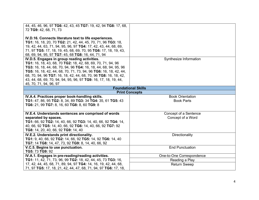| 44, 45, 46, 96, 97 TG6: 42, 43, 45 TG7: 19, 42, 94 TG8: 17, 68,                                              |                                              |
|--------------------------------------------------------------------------------------------------------------|----------------------------------------------|
| 72 TG9: 42, 68, 71, 73                                                                                       |                                              |
| IV.D.16. Connects literature text to life experiences.                                                       |                                              |
| TG1: 16, 18, 20, 70 TG2: 21, 42, 44, 45, 70, 71, 96 TG3: 18,                                                 |                                              |
| 19, 42, 44, 63, 71, 94, 95, 96, 97 TG4: 17, 42, 43, 44, 68, 69,                                              |                                              |
| 71, 97 TG5: 17, 18, 19, 45, 68, 69, 70, 95 TG6: 17, 18, 19, 43,                                              |                                              |
| 68, 69, 94, 95, 97 TG7: 45, 68 TG8: 16, 44, 71, 94                                                           |                                              |
| IV.D.5. Engages in group reading activities.                                                                 | Synthesize Information                       |
| TG1: 16, 18, 43, 68, 70 TG2: 18, 42, 68, 69, 70, 71, 94, 96                                                  |                                              |
| TG3: 16, 18, 44, 68, 70, 94, 96 TG4: 16, 18, 44, 68, 94, 95, 96                                              |                                              |
| TG5: 16, 18, 42, 44, 68, 70, 71, 73, 94, 96 TG6: 16, 18, 42, 44,                                             |                                              |
| 68, 70, 94, 96 TG7: 16, 18, 42, 44, 68, 70, 96 TG8: 16, 18, 42,                                              |                                              |
| 43, 44, 68, 69, 70, 94, 94, 95, 96, 97 TG9: 16, 17, 18, 19, 44,                                              |                                              |
| 45, 70, 71, 94, 96, 97                                                                                       |                                              |
| <b>Foundational Skills</b><br><b>Print Concepts</b>                                                          |                                              |
|                                                                                                              |                                              |
| IV.A.4. Practices proper book-handling skills.<br>TG1: 47, 86, 95 TG2: 8, 34, 89 TG3: 34 TG4: 35, 61 TG5: 43 | <b>Book Orientation</b><br><b>Book Parts</b> |
| TG6: 21, 99 TG7: 8, 16, 60 TG8: 8, 60 TG9: 8                                                                 |                                              |
|                                                                                                              |                                              |
| IV.E.4. Understands sentences are comprised of words                                                         | Concept of a Sentence                        |
| separated by spaces.                                                                                         | Concept of a Word                            |
| TG1: 66, 92 TG2: 14, 40, 66, 92 TG3: 14, 40, 66, 92 TG4: 14,                                                 |                                              |
| 40, 66, 92 TG5: 14, 40, 66, 92 TG6: 14, 40, 66, 92 TG7: 92                                                   |                                              |
| TG8: 14, 20, 40, 66, 92 TG9: 14, 40                                                                          |                                              |
| IV.E.2. Understands print directionality.                                                                    | Directionality                               |
| TG1: 9, 40, 66, 92 TG2: 14, 66, 92 TG5: 14, 92 TG6: 14, 40                                                   |                                              |
| TG7: 14 TG8: 14, 47, 73, 92 TG9: 8, 14, 40, 66, 92                                                           |                                              |
| V.C.5. Begins to use punctuation.                                                                            | <b>End Punctuation</b>                       |
| TG5: 73 TG9: 92                                                                                              |                                              |
| IV.A.1. Engages in pre-reading/reading activities.                                                           | One-to-One Correspondence                    |
| TG1: 11, 42, 71, 73, 96, 99 TG2: 18, 42, 44, 45, 73 TG3: 16,                                                 | Reading a Play                               |
| 17, 42, 44, 45, 68, 71, 89, 94, 97 TG4: 14, 16, 19, 42, 44, 68,                                              | <b>Return Sweep</b>                          |
| 71, 97 TG5: 17, 18, 21, 42, 44, 47, 68, 71, 94, 97 TG6: 17, 18,                                              |                                              |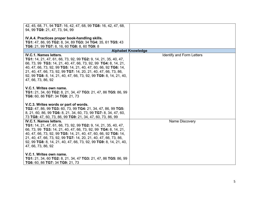| 42, 45, 68, 71, 94 TG7: 16, 42, 47, 68, 99 TG8: 16, 42, 47, 68,               |                                  |
|-------------------------------------------------------------------------------|----------------------------------|
| 94, 99 TG9: 21, 47, 73, 94, 99                                                |                                  |
|                                                                               |                                  |
|                                                                               |                                  |
| IV.A.4. Practices proper book-handling skills.                                |                                  |
| TG1: 47, 86, 95 TG2: 8, 34, 89 TG3: 34 TG4: 35, 61 TG5: 43                    |                                  |
| TG6: 21, 99 TG7: 8, 16, 60 TG8: 8, 60 TG9: 8                                  |                                  |
|                                                                               | <b>Alphabet Knowledge</b>        |
|                                                                               |                                  |
| <b>IV.C.1. Names letters.</b>                                                 | <b>Identify and Form Letters</b> |
| <b>TG1:</b> 14, 21, 47, 61, 66, 73, 92, 99 <b>TG2:</b> 9, 14, 21, 35, 40, 47, |                                  |
| 66, 73, 99 TG3: 14, 21, 40, 47, 66, 73, 92, 99 TG4: 8, 14, 21,                |                                  |
|                                                                               |                                  |
| 40, 47, 66, 73, 92, 99 TG5: 14, 21, 40, 47, 60, 66, 92 TG6: 14,               |                                  |
| 21, 40, 47, 66, 73, 92, 99 TG7: 14, 20, 21, 40, 47, 66, 73, 86,               |                                  |
| 92, 99 TG8: 8, 14, 21, 40, 47, 66, 73, 92, 99 TG9: 8, 14, 21, 40,             |                                  |
| 47, 66, 73, 86, 92                                                            |                                  |
|                                                                               |                                  |
|                                                                               |                                  |
| V.C.1. Writes own name.                                                       |                                  |
| TG1: 21, 34, 60 TG2: 8, 21, 34, 47 TG3: 21, 47, 86 TG5: 86, 99                |                                  |
| TG6: 60, 86 TG7: 34 TG9: 21, 73                                               |                                  |
|                                                                               |                                  |
|                                                                               |                                  |
| V.C.3. Writes words or part of words.                                         |                                  |
| TG2: 47, 86, 99 TG3: 60, 73, 99 TG4: 21, 34, 47, 86, 99 TG5:                  |                                  |
|                                                                               |                                  |
| 8, 21, 60, 86, 99 TG6: 8, 21, 34, 60, 73, 99 TG7: 8, 34, 47, 60,              |                                  |
| 73 TG8: 47, 60, 73, 86, 99 TG9: 21, 34, 47, 60, 73, 86, 99                    |                                  |
| <b>IV.C.1. Names letters.</b>                                                 | Name Discovery                   |
| <b>TG1:</b> 14, 21, 47, 61, 66, 73, 92, 99 <b>TG2:</b> 9, 14, 21, 35, 40, 47, |                                  |
|                                                                               |                                  |
| 66, 73, 99 TG3: 14, 21, 40, 47, 66, 73, 92, 99 TG4: 8, 14, 21,                |                                  |
| 40, 47, 66, 73, 92, 99 TG5: 14, 21, 40, 47, 60, 66, 92 TG6: 14,               |                                  |
| 21, 40, 47, 66, 73, 92, 99 TG7: 14, 20, 21, 40, 47, 66, 73, 86,               |                                  |
| 92, 99 TG8: 8, 14, 21, 40, 47, 66, 73, 92, 99 TG9: 8, 14, 21, 40,             |                                  |
| 47, 66, 73, 86, 92                                                            |                                  |
|                                                                               |                                  |
|                                                                               |                                  |
| V.C.1. Writes own name.                                                       |                                  |
| TG1: 21, 34, 60 TG2: 8, 21, 34, 47 TG3: 21, 47, 86 TG5: 86, 99                |                                  |
| TG6: 60, 86 TG7: 34 TG9: 21, 73                                               |                                  |
|                                                                               |                                  |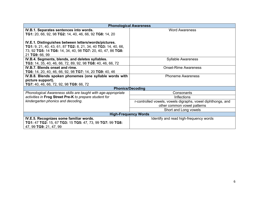| <b>Phonological Awareness</b>                                                |                                                             |  |
|------------------------------------------------------------------------------|-------------------------------------------------------------|--|
| IV.B.1. Separates sentences into words.                                      | <b>Word Awareness</b>                                       |  |
| TG1: 20, 66, 92, 98 TG2: 14, 40, 46, 66, 92 TG8: 14, 20                      |                                                             |  |
|                                                                              |                                                             |  |
| IV.E.1. Distinguishes between letters/words/pictures.                        |                                                             |  |
| TG1: 9, 21, 40, 43, 61, 87 TG2: 8, 21, 34, 40 TG3: 14, 40, 66,               |                                                             |  |
| 73, 92 TG5: 14 TG6: 14, 34, 40, 98 TG7: 20, 40, 47, 86 TG8:                  |                                                             |  |
| 21 TG9: 66, 99                                                               |                                                             |  |
| IV.B.4. Segments, blends, and deletes syllables.                             | <b>Syllable Awareness</b>                                   |  |
| TG3: 14, 35, 40, 46, 66, 72, 89, 92, 98 TG8: 40, 46, 66, 72                  |                                                             |  |
| IV.B.7. Blends onset and rime.                                               | <b>Onset-Rime Awareness</b>                                 |  |
| <b>TG6:</b> 14, 20, 40, 46, 66, 92, 98 <b>TG7:</b> 14, 20 <b>TG9:</b> 40, 46 |                                                             |  |
| IV.B.8. Blends spoken phonemes (one syllable words with                      | <b>Phoneme Awareness</b>                                    |  |
| picture support).                                                            |                                                             |  |
| TG7: 40, 46, 66, 72, 92, 98 TG9: 66, 72                                      |                                                             |  |
| <b>Phonics/Decoding</b>                                                      |                                                             |  |
| Phonological Awareness skills are taught with age-appropriate                | Consonants                                                  |  |
| activities in Frog Street Pre-K to prepare student for                       | <b>Inflections</b>                                          |  |
| kindergarten phonics and decoding.                                           | r-controlled vowels, vowels digraphs, vowel diphthongs, and |  |
|                                                                              | other common vowel patterns                                 |  |
|                                                                              | Short and Long vowels                                       |  |
| <b>High-Frequency Words</b>                                                  |                                                             |  |
| IV.E.5. Recognizes some familiar words.                                      | Identify and read high-frequency words                      |  |
| TG1: 47 TG2: 15, 67 TG3: 15 TG5: 47, 73, 99 TG7: 99 TG8:                     |                                                             |  |
| 47, 99 TG9: 21, 47, 99                                                       |                                                             |  |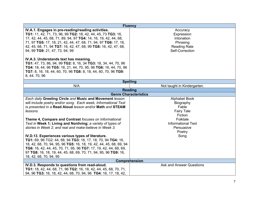| <b>Fluency</b>                                                     |                                 |
|--------------------------------------------------------------------|---------------------------------|
| IV.A.1. Engages in pre-reading/reading activities.                 | Accuracy                        |
| TG1: 11, 42, 71, 73, 96, 99 TG2: 18, 42, 44, 45, 73 TG3: 16,       | Expression                      |
| 17, 42, 44, 45, 68, 71, 89, 94, 97 TG4: 14, 16, 19, 42, 44, 68,    | Intonation                      |
| 71, 97 TG5: 17, 18, 21, 42, 44, 47, 68, 71, 94, 97 TG6: 17, 18,    | Phrasing                        |
| 42, 45, 68, 71, 94 TG7: 16, 42, 47, 68, 99 TG8: 16, 42, 47, 68,    | <b>Reading Rate</b>             |
| 94, 99 TG9: 21, 47, 73, 94, 99                                     | Self-Correction                 |
|                                                                    |                                 |
| IV.A.3. Understands text has meaning.                              |                                 |
| TG1: 47, 73, 86, 94, 99 TG2: 8, 16, 34 TG3: 18, 34, 44, 70, 96     |                                 |
| TG4: 18, 44, 96 TG5: 16, 21, 44, 70, 95, 96 TG6: 16, 44, 70, 96    |                                 |
| TG7: 8, 16, 18, 44, 60, 70, 96 TG8: 8, 18, 44, 60, 70, 96 TG9:     |                                 |
| 8, 44, 70, 96                                                      |                                 |
| <b>Spelling</b>                                                    |                                 |
| N/A                                                                | Not taught in Kindergarten.     |
|                                                                    | <b>Reading</b>                  |
| <b>Genre Characteristics</b>                                       |                                 |
| Each daily Greeting Circle and Music and Movement lesson           | <b>Alphabet Book</b>            |
| will include poetry and/or song. Each week, Informational Text     | Biography                       |
| is presented in a Read Aloud lesson and/or Math and STEAM          | Fable                           |
| lessons.                                                           | <b>Fairy Tale</b>               |
|                                                                    | Fiction                         |
| Theme 4, Compare and Contrast focuses on Informational             | Folktale                        |
| Text in Week 1; Living and Nonliving; a variety of types of        | <b>Informational Text</b>       |
| stories in Week 2; and real and make-believe in Week 3.            | Persuasive                      |
|                                                                    | Poetry                          |
| IV.D.13. Experiences various types of literature.                  | Song                            |
| TG1: 69, 96 TG2: 44, 68, 94 TG3: 16, 17, 18, 70, 94 TG4: 16,       |                                 |
| 18, 42, 68, 70, 94, 95, 96 TG5: 16, 18, 19, 42, 44, 45, 68, 69, 94 |                                 |
| TG6: 16, 42, 44, 45, 70, 71, 95, 96 TG7: 17, 19, 42, 44, 68, 69,   |                                 |
| 97 TG8: 16, 18, 19, 44, 45, 68, 69, 70, 71, 94, 95, 96 TG9: 16,    |                                 |
| 18, 42, 68, 70, 94, 95                                             |                                 |
|                                                                    | Comprehension                   |
| IV.D.3. Responds to questions from read-aloud.                     | <b>Ask and Answer Questions</b> |
| TG1: 18, 42, 44, 68, 71, 96 TG2: 16, 18, 42, 44, 45, 68, 70, 71,   |                                 |
| 94, 96 TG3: 16, 18, 42, 44, 68, 70, 94, 96 TG4: 16, 17, 18, 42,    |                                 |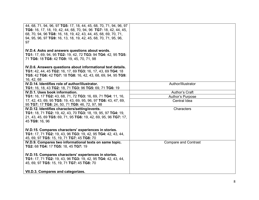| 44, 68, 71, 94, 96, 97 TG5: 17, 18, 44, 45, 68, 70, 71, 94, 96, 97 |                             |
|--------------------------------------------------------------------|-----------------------------|
| TG6: 16, 17, 18, 19, 42, 44, 68, 70, 94, 96 TG7: 18, 42, 44, 45,   |                             |
| 68, 70, 94, 96 TG8: 16, 18, 19, 42, 43, 44, 45, 68, 69, 70, 71,    |                             |
| 94, 95, 96, 97 TG9: 16, 13, 18, 19, 42, 45, 68, 70, 71, 95, 96,    |                             |
| 97                                                                 |                             |
|                                                                    |                             |
| IV.D.4. Asks and answers questions about words.                    |                             |
| TG1: 17, 69, 94, 95 TG2: 19, 42, 72 TG3: 94 TG4: 42, 95 TG5:       |                             |
| 71 TG6: 18 TG8: 42 TG9: 19, 45, 70, 71, 98                         |                             |
|                                                                    |                             |
| IV.D.6. Answers questions about informational text details.        |                             |
| TG1: 42, 44, 45 TG2: 16, 17, 69 TG3: 16, 17, 43, 69 TG4: 18        |                             |
| TG5: 42 TG6: 42 TG7: 18 TG8: 16, 42, 43, 68, 69, 94, 95 TG9:       |                             |
| 16, 42, 68                                                         |                             |
| IV.D.14. Identifies role of author/illustrator.                    | Author/Illustrator          |
| TG1: 16, 18, 43 TG2: 18, 71 TG3: 96 TG5: 69, 71 TG6: 19            |                             |
| IV.D.1. Uses book information.                                     | Author's Craft              |
| TG1: 16, 17 TG2: 43, 68, 71, 72 TG3: 16, 69, 71 TG4: 11, 16,       |                             |
|                                                                    | Author's Purpose            |
| 17, 42, 43, 69, 95 TG5: 19, 43, 69, 95, 96, 97 TG6: 43, 47, 69,    | Central Idea                |
| 95 TG7: 17 TG8: 24, 50, 71 TG9: 46, 72, 97, 98                     |                             |
| IV.D.12. Identifies characters/setting/events.                     | Characters                  |
| TG1: 18, 71 TG2: 19, 42, 43, 70 TG3: 18, 19, 95, 97 TG4: 19,       |                             |
| 21, 43, 45, 69 TG5: 69, 71, 95 TG6: 19, 42, 69, 95, 96 TG7: 17,    |                             |
| 45 TG9: 16, 96                                                     |                             |
|                                                                    |                             |
| IV.D.15. Compares characters' experiences in stories.              |                             |
| TG1: 17, 71 TG2: 19, 43, 96 TG3: 19, 42, 95 TG4: 42, 43, 44,       |                             |
| 45, 69, 97 TG5: 15, 19, 71 TG7: 45 TG8: 70                         |                             |
| IV.D.9. Compares two informational texts on same topic.            | <b>Compare and Contrast</b> |
| TG2: 68 TG4: 17 TG5: 18, 45 TG7: 19                                |                             |
|                                                                    |                             |
| IV.D.15. Compares characters' experiences in stories.              |                             |
| TG1: 17, 71 TG2: 19, 43, 96 TG3: 19, 42, 95 TG4: 42, 43, 44,       |                             |
| 45, 69, 97 TG5: 15, 19, 71 TG7: 45 TG8: 70                         |                             |
|                                                                    |                             |
| VII.D.3. Compares and categorizes.                                 |                             |
|                                                                    |                             |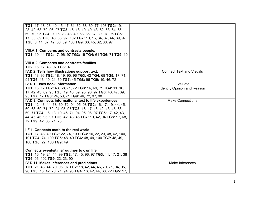| TG1: 17, 18, 23, 40, 45, 47, 61, 62, 68, 69, 77, 103 TG2: 19,<br>23, 42, 68, 70, 96, 97 TG3: 16, 18, 19, 40, 43, 62, 63, 64, 66,<br>69, 70, 95 TG4: 9, 16, 23, 48, 49, 68, 86, 87, 89, 94, 95 TG5:<br>17, 35, 89 TG6: 43, 68, 97, 102 TG7: 10, 16, 34, 37, 44, 89, 97<br>TG8: 8, 11, 37, 42, 63, 89, 100 TG9: 36, 45, 62, 88, 97<br>VIII.A.1. Compares and contrasts people. |                                                |
|------------------------------------------------------------------------------------------------------------------------------------------------------------------------------------------------------------------------------------------------------------------------------------------------------------------------------------------------------------------------------|------------------------------------------------|
| TG1: 19, 44 TG2: 17, 96, 97 TG3: 19 TG4: 61 TG6: 71 TG9: 10<br>VIII.A.2. Compares and contrasts families.<br>TG2: 16, 17, 48, 97 TG6: 97                                                                                                                                                                                                                                     |                                                |
| IV.D.2. Tells how illustrations support text.<br>TG1: 43, 96 TG2: 18, 19, 95, 96 TG3: 42 TG4: 68 TG5: 17, 71,<br>94 TG6: 16, 19, 21, 69 TG7: 45 TG8: 96 TG9: 19, 46, 72                                                                                                                                                                                                      | <b>Connect Text and Visuals</b>                |
| IV.D.1. Uses book information.<br>TG1: 16, 17 TG2: 43, 68, 71, 72 TG3: 16, 69, 71 TG4: 11, 16,<br>17, 42, 43, 69, 95 TG5: 19, 43, 69, 95, 96, 97 TG6: 43, 47, 69,<br>95 TG7: 17 TG8: 24, 50, 71 TG9: 46, 72, 97, 98                                                                                                                                                          | Evaluate<br><b>Identify Opinion and Reason</b> |
| IV.D.8. Connects informational text to life experiences.<br>TG1: 42, 43, 44, 68, 69, 72, 94, 95, 98 TG2: 16, 17, 19, 44, 45,<br>60, 68, 69, 71, 72, 94, 95, 97 TG3: 16, 17, 18, 42, 43, 45, 68,<br>69, 71 TG4: 16, 18, 19, 45, 71, 94, 95, 96, 97 TG5: 17, 42, 43,<br>44, 45, 46, 96, 97 TG6: 42, 43, 45 TG7: 19, 42, 94 TG8: 17, 68,<br>72 TG9: 42, 68, 71, 73              | <b>Make Connections</b>                        |
| I.F.1. Connects math to the real world.<br><b>TG1:</b> 17, 48, 49 <b>TG2:</b> 22, 74, 100 <b>TG3:</b> 10, 22, 23, 48, 62, 100,<br>101 TG4: 74, 100 TG5: 48, 49 TG6: 48, 49, 100 TG7: 48, 49,<br>100 TG8: 22, 100 TG9: 49<br>Connects events/time/routines to own life.<br>TG1: 16, 19, 24, 44, 99 TG2: 17, 45, 96, 97 TG3: 11, 17, 21, 38                                    |                                                |
| TG6: 96, 102 TG9: 22, 23, 90<br>IV.D.11. Makes inferences and predictions.<br>TG1: 21, 43, 44, 70, 96, 97 TG2: 18, 42, 44, 46, 70, 71, 94, 95,<br>96 TG3: 18, 42, 70, 71, 94, 96 TG4: 16, 42, 44, 68, 72 TG5: 17,                                                                                                                                                            | Make Inferences                                |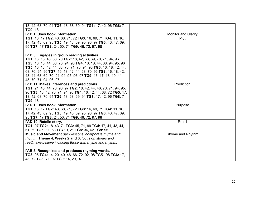| 18, 42, 68, 70, 94 TG6: 18, 68, 69, 94 TG7: 17, 42, 96 TG8: 71            |                            |
|---------------------------------------------------------------------------|----------------------------|
| <b>TG9: 18</b>                                                            |                            |
| IV.D.1. Uses book information.                                            | <b>Monitor and Clarify</b> |
| TG1: 16, 17 TG2: 43, 68, 71, 72 TG3: 16, 69, 71 TG4: 11, 16,              | Plot                       |
| 17, 42, 43, 69, 95 TG5: 19, 43, 69, 95, 96, 97 TG6: 43, 47, 69,           |                            |
| 95 TG7: 17 TG8: 24, 50, 71 TG9: 46, 72, 97, 98                            |                            |
|                                                                           |                            |
| IV.D.5. Engages in group reading activities.                              |                            |
| <b>TG1:</b> 16, 18, 43, 68, 70 <b>TG2:</b> 18, 42, 68, 69, 70, 71, 94, 96 |                            |
| TG3: 16, 18, 44, 68, 70, 94, 96 TG4: 16, 18, 44, 68, 94, 95, 96           |                            |
| TG5: 16, 18, 42, 44, 68, 70, 71, 73, 94, 96 TG6: 16, 18, 42, 44,          |                            |
| 68, 70, 94, 96 TG7: 16, 18, 42, 44, 68, 70, 96 TG8: 16, 18, 42,           |                            |
| 43, 44, 68, 69, 70, 94, 94, 95, 96, 97 TG9: 16, 17, 18, 19, 44,           |                            |
| 45, 70, 71, 94, 96, 97                                                    |                            |
| IV.D.11. Makes inferences and predictions.                                | Prediction                 |
| TG1: 21, 43, 44, 70, 96, 97 TG2: 18, 42, 44, 46, 70, 71, 94, 95,          |                            |
| 96 TG3: 18, 42, 70, 71, 94, 96 TG4: 16, 42, 44, 68, 72 TG5: 17,           |                            |
| 18, 42, 68, 70, 94 TG6: 18, 68, 69, 94 TG7: 17, 42, 96 TG8: 71            |                            |
| <b>TG9: 18</b>                                                            |                            |
| IV.D.1. Uses book information.                                            | Purpose                    |
| TG1: 16, 17 TG2: 43, 68, 71, 72 TG3: 16, 69, 71 TG4: 11, 16,              |                            |
| 17, 42, 43, 69, 95 TG5: 19, 43, 69, 95, 96, 97 TG6: 43, 47, 69,           |                            |
| 95 TG7: 17 TG8: 24, 50, 71 TG9: 46, 72, 97, 98                            |                            |
| IV.D.10. Retells story.                                                   | Retell                     |
| TG1: 97 TG2: 18, 43, 71 TG3: 45, 71, 99 TG4: 17, 41, 43, 44,              |                            |
| 61, 69 TG5: 11, 68 TG7: 9, 21 TG8: 36, 62 TG9: 95                         |                            |
| Music and Movement daily lessons incorporate rhyme and                    | Rhyme and Rhythm           |
| rhythm. Theme 4, Weeks 2 and 3, focus on stories and                      |                            |
| real/make-believe including those with rhyme and rhythm.                  |                            |
|                                                                           |                            |
| IV.B.5. Recognizes and produces rhyming words.                            |                            |
| TG3: 95 TG4: 14, 20, 40, 46, 66, 72, 92, 98 TG5. 98 TG6: 17,              |                            |
| 43, 72 TG8: 71, 92 TG9: 14, 20, 97                                        |                            |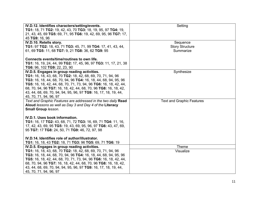| IV.D.12. Identifies characters/setting/events.                                            | Setting                          |
|-------------------------------------------------------------------------------------------|----------------------------------|
| TG1: 18, 71 TG2: 19, 42, 43, 70 TG3: 18, 19, 95, 97 TG4: 19,                              |                                  |
| 21, 43, 45, 69 TG5: 69, 71, 95 TG6: 19, 42, 69, 95, 96 TG7: 17,                           |                                  |
| 45 TG9: 16, 96                                                                            |                                  |
| IV.D.10. Retells story.                                                                   | Sequence                         |
| TG1: 97 TG2: 18, 43, 71 TG3: 45, 71, 99 TG4: 17, 41, 43, 44,                              | <b>Story Structure</b>           |
| 61, 69 TG5: 11, 68 TG7: 9, 21 TG8: 36, 62 TG9: 95                                         | Summarize                        |
|                                                                                           |                                  |
| Connects events/time/routines to own life.                                                |                                  |
| TG1: 16, 19, 24, 44, 99 TG2: 17, 45, 96, 97 TG3: 11, 17, 21, 38                           |                                  |
| TG6: 96, 102 TG9: 22, 23, 90                                                              |                                  |
| IV.D.5. Engages in group reading activities.                                              | Synthesize                       |
| TG1: 16, 18, 43, 68, 70 TG2: 18, 42, 68, 69, 70, 71, 94, 96                               |                                  |
| TG3: 16, 18, 44, 68, 70, 94, 96 TG4: 16, 18, 44, 68, 94, 95, 96                           |                                  |
| TG5: 16, 18, 42, 44, 68, 70, 71, 73, 94, 96 TG6: 16, 18, 42, 44,                          |                                  |
| 68, 70, 94, 96 TG7: 16, 18, 42, 44, 68, 70, 96 TG8: 16, 18, 42,                           |                                  |
| 43, 44, 68, 69, 70, 94, 94, 95, 96, 97 TG9: 16, 17, 18, 19, 44,                           |                                  |
| 45, 70, 71, 94, 96, 97                                                                    |                                  |
| Text and Graphic Features are addressed in the two daily Read                             | <b>Text and Graphic Features</b> |
| Aloud lessons as well as Day 3 and Day 4 of the Literacy                                  |                                  |
| Small Group lesson.                                                                       |                                  |
|                                                                                           |                                  |
| IV.D.1. Uses book information.                                                            |                                  |
| TG1: 16, 17 TG2: 43, 68, 71, 72 TG3: 16, 69, 71 TG4: 11, 16,                              |                                  |
| 17, 42, 43, 69, 95 TG5: 19, 43, 69, 95, 96, 97 TG6: 43, 47, 69,                           |                                  |
| 95 TG7: 17 TG8: 24, 50, 71 TG9: 46, 72, 97, 98                                            |                                  |
|                                                                                           |                                  |
| IV.D.14. Identifies role of author/illustrator.                                           |                                  |
| TG1: 16, 18, 43 TG2: 18, 71 TG3: 96 TG5: 69, 71 TG6: 19                                   |                                  |
| IV.D.5. Engages in group reading activities.                                              | Theme                            |
| TG1: 16, 18, 43, 68, 70 TG2: 18, 42, 68, 69, 70, 71, 94, 96                               | Visualize                        |
| TG3: 16, 18, 44, 68, 70, 94, 96 TG4: 16, 18, 44, 68, 94, 95, 96                           |                                  |
| TG5: 16, 18, 42, 44, 68, 70, 71, 73, 94, 96 TG6: 16, 18, 42, 44,                          |                                  |
| 68, 70, 94, 96 TG7: 16, 18, 42, 44, 68, 70, 96 TG8: 16, 18, 42,                           |                                  |
|                                                                                           |                                  |
| 43, 44, 68, 69, 70, 94, 94, 95, 96, 97 TG9: 16, 17, 18, 19, 44,<br>45, 70, 71, 94, 96, 97 |                                  |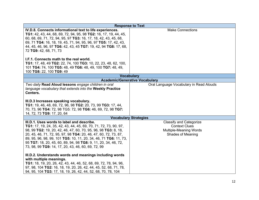|                                                                                                                                                                                                                                                                                                                                                                                                                                                                                                                                                                        | <b>Response to Text</b>                                                                                             |
|------------------------------------------------------------------------------------------------------------------------------------------------------------------------------------------------------------------------------------------------------------------------------------------------------------------------------------------------------------------------------------------------------------------------------------------------------------------------------------------------------------------------------------------------------------------------|---------------------------------------------------------------------------------------------------------------------|
| IV.D.8. Connects informational text to life experiences.<br>TG1: 42, 43, 44, 68, 69, 72, 94, 95, 98 TG2: 16, 17, 19, 44, 45,<br>60, 68, 69, 71, 72, 94, 95, 97 TG3: 16, 17, 18, 42, 43, 45, 68,<br>69, 71 TG4: 16, 18, 19, 45, 71, 94, 95, 96, 97 TG5: 17, 42, 43,<br>44, 45, 46, 96, 97 TG6: 42, 43, 45 TG7: 19, 42, 94 TG8: 17, 68,<br>72 TG9: 42, 68, 71, 73<br>I.F.1. Connects math to the real world.<br>TG1: 17, 48, 49 TG2: 22, 74, 100 TG3: 10, 22, 23, 48, 62, 100,<br>101 TG4: 74, 100 TG5: 48, 49 TG6: 48, 49, 100 TG7: 48, 49,<br>100 TG8: 22, 100 TG9: 49 | <b>Make Connections</b>                                                                                             |
|                                                                                                                                                                                                                                                                                                                                                                                                                                                                                                                                                                        | <b>Vocabulary</b>                                                                                                   |
|                                                                                                                                                                                                                                                                                                                                                                                                                                                                                                                                                                        | <b>Academic/Generative Vocabulary</b>                                                                               |
| Two daily Read Aloud lessons engage children in oral<br>language vocabulary that extends into the Weekly Practice<br>Centers.                                                                                                                                                                                                                                                                                                                                                                                                                                          | Oral Language Vocabulary in Read Alouds                                                                             |
| III.D.3 Increases speaking vocabulary.<br>TG1: 19, 46, 48, 69, 72, 96, 98 TG2: 20, 73, 99 TG3: 17, 44,<br>70, 73, 96 TG4: 72, 98 TG5: 72, 98 TG6: 46, 69, 72, 98 TG7:<br>14, 72, 73 TG9: 17, 20, 64                                                                                                                                                                                                                                                                                                                                                                    |                                                                                                                     |
|                                                                                                                                                                                                                                                                                                                                                                                                                                                                                                                                                                        | <b>Vocabulary Strategies</b>                                                                                        |
| III.D.1. Uses words to label and describe.<br>TG1: 17, 19, 24, 35, 42, 43, 44, 45, 69, 70, 71, 72, 73, 90, 97,<br>98, 99 TG2: 19, 20, 42, 46, 47, 60, 70, 95, 96, 98 TG3: 8, 18,<br>20, 45, 46, 71, 72, 95, 97, 98 TG4: 20, 46, 47, 60, 72, 73, 87,<br>89, 95, 96, 98, 99, 101 TG5: 10, 11, 20, 34, 46, 71 TG6: 11, 73,<br>95 TG7: 18, 20, 45, 60, 89, 94, 98 TG8: 9, 11, 20, 34, 46, 72,<br>73, 98, 99 TG9: 14, 17, 20, 43, 46, 60, 69, 72, 99                                                                                                                        | <b>Classify and Categorize</b><br><b>Context Clues</b><br><b>Multiple-Meaning Words</b><br><b>Shades of Meaning</b> |
| III.D.2. Understands words and meanings including words<br>with multiple meanings.<br><b>TG1:</b> 18, 19, 20, 26, 42, 43, 44, 46, 52, 68, 69, 72, 78, 94, 96,<br>97, 98, 104 TG2: 16, 18, 19, 20, 26, 42, 44, 45, 52, 68, 71, 78,<br>94, 95, 104 TG3: 17, 18, 19, 26, 42, 44, 52, 68, 70, 78, 104                                                                                                                                                                                                                                                                      |                                                                                                                     |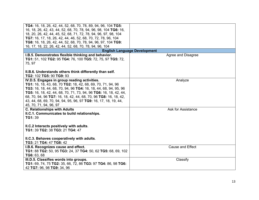| TG4: 16, 18, 26, 42, 44, 52, 68, 70, 78, 89, 94, 96, 104 TG5:<br>16, 18, 26, 42, 43, 44, 52, 68, 70, 78, 94, 96, 98, 104 TG6: 16,<br>18, 20, 26, 42, 44, 45, 52, 68, 71, 72, 78, 94, 96, 97, 98, 104<br>TG7: 16, 17, 18, 26, 42, 44, 46, 52, 68, 70, 72, 78, 96, 104<br>TG8: 16, 18, 26, 42, 44, 52, 68, 70, 78, 94, 96, 97, 104 TG9:<br>16, 17, 18, 22, 26, 42, 44, 52, 68, 70, 78, 94, 96, 104                   |                                     |
|--------------------------------------------------------------------------------------------------------------------------------------------------------------------------------------------------------------------------------------------------------------------------------------------------------------------------------------------------------------------------------------------------------------------|-------------------------------------|
|                                                                                                                                                                                                                                                                                                                                                                                                                    | <b>English Language Development</b> |
| I.B.5. Demonstrates flexible thinking and behavior.<br>TG1: 51, 102 TG2: 95 TG4: 76, 100 TG5: 72, 75, 97 TG5: 72,<br>75, 97                                                                                                                                                                                                                                                                                        | Agree and Disagree                  |
| II.B.6. Understands others think differently than self.<br>TG2: 102 TG5: 90 TG9: 93                                                                                                                                                                                                                                                                                                                                |                                     |
| IV.D.5. Engages in group reading activities.<br>TG1: 16, 18, 43, 68, 70 TG2: 18, 42, 68, 69, 70, 71, 94, 96<br>TG3: 16, 18, 44, 68, 70, 94, 96 TG4: 16, 18, 44, 68, 94, 95, 96<br>TG5: 16, 18, 42, 44, 68, 70, 71, 73, 94, 96 TG6: 16, 18, 42, 44,<br>68, 70, 94, 96 TG7: 16, 18, 42, 44, 68, 70, 96 TG8: 16, 18, 42,<br>43, 44, 68, 69, 70, 94, 94, 95, 96, 97 TG9: 16, 17, 18, 19, 44,<br>45, 70, 71, 94, 96, 97 | Analyze                             |
| <b>C. Relationships with Adults</b><br>II.C.1. Communicates to build relationships.<br>TG1: 39<br>II.C.2 Interacts positively with adults.<br>TG1: 39 TG2: 38 TG3: 21 TG4: 47<br>II.C.3. Behaves cooperatively with adults.                                                                                                                                                                                        | Ask for Assistance                  |
| TG3: 21 TG4: 47 TG8: 42                                                                                                                                                                                                                                                                                                                                                                                            |                                     |
| I.B.6. Recognizes cause and effect.<br>TG1: 88 TG2: 50, 95 TG3: 24, 37 TG4: 50, 62 TG5: 68, 69, 102<br>TG6: 63, 68                                                                                                                                                                                                                                                                                                 | <b>Cause and Effect</b>             |
| III.D.5. Classifies words into groups.<br>TG1: 69, 74, 75 TG2: 35, 66, 72, 86 TG3: 97 TG4: 86, 98 TG6:<br>42 TG7: 96, 98 TG9: 34, 96                                                                                                                                                                                                                                                                               | Classify                            |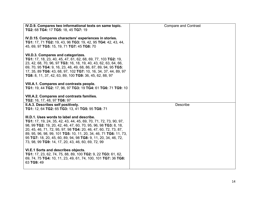| IV.D.9. Compares two informational texts on same topic.<br>TG2: 68 TG4: 17 TG5: 18, 45 TG7: 19                                                                                                                                                                                                                                                                                                                                                  | <b>Compare and Contrast</b> |
|-------------------------------------------------------------------------------------------------------------------------------------------------------------------------------------------------------------------------------------------------------------------------------------------------------------------------------------------------------------------------------------------------------------------------------------------------|-----------------------------|
| IV.D.15. Compares characters' experiences in stories.<br>TG1: 17, 71 TG2: 19, 43, 96 TG3: 19, 42, 95 TG4: 42, 43, 44,<br>45, 69, 97 TG5: 15, 19, 71 TG7: 45 TG8: 70                                                                                                                                                                                                                                                                             |                             |
| VII.D.3. Compares and categorizes.<br>TG1: 17, 18, 23, 40, 45, 47, 61, 62, 68, 69, 77, 103 TG2: 19,<br>23, 42, 68, 70, 96, 97 TG3: 16, 18, 19, 40, 43, 62, 63, 64, 66,<br>69, 70, 95 TG4: 9, 16, 23, 48, 49, 68, 86, 87, 89, 94, 95 TG5:<br>17, 35, 89 TG6: 43, 68, 97, 102 TG7: 10, 16, 34, 37, 44, 89, 97<br>TG8: 8, 11, 37, 42, 63, 89, 100 TG9: 36, 45, 62, 88, 97                                                                          |                             |
| VIII.A.1. Compares and contrasts people.<br>TG1: 19, 44 TG2: 17, 96, 97 TG3: 19 TG4: 61 TG6: 71 TG9: 10                                                                                                                                                                                                                                                                                                                                         |                             |
| VIII.A.2. Compares and contrasts families.<br>TG2: 16, 17, 48, 97 TG6: 97                                                                                                                                                                                                                                                                                                                                                                       |                             |
| II.A.3. Describes self positively.<br>TG1: 12, 64 TG2: 65 TG3: 13, 41 TG5: 95 TG8: 71                                                                                                                                                                                                                                                                                                                                                           | <b>Describe</b>             |
| III.D.1. Uses words to label and describe.<br>TG1: 17, 19, 24, 35, 42, 43, 44, 45, 69, 70, 71, 72, 73, 90, 97,<br>98, 99 TG2: 19, 20, 42, 46, 47, 60, 70, 95, 96, 98 TG3: 8, 18,<br>20, 45, 46, 71, 72, 95, 97, 98 TG4: 20, 46, 47, 60, 72, 73, 87,<br>89, 95, 96, 98, 99, 101 TG5: 10, 11, 20, 34, 46, 71 TG6: 11, 73,<br>95 TG7: 18, 20, 45, 60, 89, 94, 98 TG8: 9, 11, 20, 34, 46, 72,<br>73, 98, 99 TG9: 14, 17, 20, 43, 46, 60, 69, 72, 99 |                             |
| VI.E.1 Sorts and describes objects.<br>TG1: 17, 23, 62, 74, 75, 88, 89, 100 TG2: 9, 22 TG3: 61, 62,<br>69, 74, 75 TG4: 10, 11, 23, 49, 61, 74, 100, 101 TG7: 36 TG8:<br>63 TG9: 49                                                                                                                                                                                                                                                              |                             |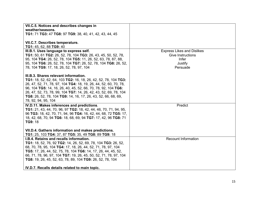| VII.C.5. Notices and describes changes in                                                                                         |                                   |
|-----------------------------------------------------------------------------------------------------------------------------------|-----------------------------------|
| weather/seasons.                                                                                                                  |                                   |
| TG1: 71 TG3: 47 TG8: 97 TG9: 38, 40, 41, 42, 43, 44, 45                                                                           |                                   |
|                                                                                                                                   |                                   |
| VII.C.7. Describes temperature.                                                                                                   |                                   |
| TG1: 45, 62, 88 TG9: 40                                                                                                           |                                   |
| III.B.1. Uses language to express self.                                                                                           | <b>Express Likes and Dislikes</b> |
| <b>TG1:</b> 50, 61 <b>TG2:</b> 26, 52, 78, 104 <b>TG3:</b> 26, 43, 45, 50, 52, 78,                                                | <b>Give Instructions</b>          |
| 95, 104 TG4: 26, 52, 78, 104 TG5: 11, 26, 52, 63, 78, 87, 88,                                                                     | Infer                             |
| 95, 104 TG6: 26, 52, 78, 104 TG7: 26, 52, 78, 104 TG8: 26, 52,                                                                    | Justify                           |
| 78, 104 TG9: 17, 18, 26, 52, 78, 97, 104                                                                                          | Persuade                          |
|                                                                                                                                   |                                   |
| III.B.3. Shares relevant information.                                                                                             |                                   |
| TG1: 18, 52, 62, 64, 103 TG2: 16, 18, 26, 42, 52, 78, 104 TG3:                                                                    |                                   |
| 26, 47, 52, 71, 78, 97, 104 TG4: 18, 19, 26, 44, 52, 60, 70, 78,                                                                  |                                   |
| 96, 104 TG5: 14, 16, 26, 40, 45, 52, 66, 70, 78, 92, 104 TG6:<br>26, 47, 52, 73, 78, 99, 104 TG7: 14, 26, 42, 43, 52, 69, 78, 104 |                                   |
| TG8: 26, 52, 78, 104 TG9: 14, 16, 17, 26, 43, 52, 66, 68, 69,                                                                     |                                   |
| 78, 92, 94, 95, 104                                                                                                               |                                   |
| IV.D.11. Makes inferences and predictions.                                                                                        | Predict                           |
| TG1: 21, 43, 44, 70, 96, 97 TG2: 18, 42, 44, 46, 70, 71, 94, 95,                                                                  |                                   |
| 96 TG3: 18, 42, 70, 71, 94, 96 TG4: 16, 42, 44, 68, 72 TG5: 17,                                                                   |                                   |
| 18, 42, 68, 70, 94 TG6: 18, 68, 69, 94 TG7: 17, 42, 96 TG8: 71                                                                    |                                   |
| <b>TG9: 18</b>                                                                                                                    |                                   |
|                                                                                                                                   |                                   |
| VII.D.4. Gathers information and makes predictions.                                                                               |                                   |
| TG1: 25, 103 TG4: 37, 87 TG5: 35, 49 TG8: 89 TG9: 18                                                                              |                                   |
| I.B.4. Retains and recalls information.                                                                                           | <b>Recount Information</b>        |
| TG1: 18, 52, 76, 92 TG2: 14, 26, 52, 69, 78, 104 TG3: 26, 52,                                                                     |                                   |
| 68, 70, 78, 95, 104 TG4: 17, 18, 26, 44, 52, 71, 78, 97, 104                                                                      |                                   |
| TG5: 17, 26, 44, 52, 75, 78, 104 TG6: 14, 17, 26, 44, 45, 52,                                                                     |                                   |
| 66, 71, 78, 96, 97, 104 TG7: 19, 26, 45, 50, 52, 71, 78, 97, 104                                                                  |                                   |
| TG8: 19, 26, 45, 52, 63, 78, 89, 104 TG9: 26, 52, 78, 104                                                                         |                                   |
|                                                                                                                                   |                                   |
| IV.D.7. Recalls details related to main topic.                                                                                    |                                   |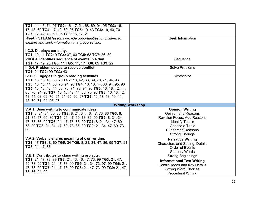| TG1: 44, 45, 71, 97 TG2: 16, 17, 21, 68, 69, 94, 95 TG3: 16,                   |                                                         |
|--------------------------------------------------------------------------------|---------------------------------------------------------|
| 17, 43, 69 TG4: 17, 42, 69, 95 TG5: 19, 43 TG6: 19, 43, 70                     |                                                         |
| TG7: 17, 42, 43, 69, 95 TG8: 16, 17, 21                                        |                                                         |
| Weekly STEAM lessons provide opportunities for children to                     | Seek Information                                        |
| explore and seek information in a group setting.                               |                                                         |
|                                                                                |                                                         |
| I.C.2. Displays curiosity.                                                     |                                                         |
| TG1: 10, 11 TG2: 9 TG4: 37, 63 TG5: 63 TG7: 36, 89                             |                                                         |
| VIII.A.4. Identifies sequence of events in a day.                              | Sequence                                                |
| TG1: 17, 19, 26 TG3: 11 TG5: 11, 17 TG6: 69 TG9: 22                            |                                                         |
| II.D.4. Problem solves to resolve conflict.                                    | <b>Solve Problems</b>                                   |
| TG1: 91 TG2: 99 TG3: 43                                                        |                                                         |
| IV.D.5. Engages in group reading activities.                                   | Synthesize                                              |
| TG1: 16, 18, 43, 68, 70 TG2: 18, 42, 68, 69, 70, 71, 94, 96                    |                                                         |
| TG3: 16, 18, 44, 68, 70, 94, 96 TG4: 16, 18, 44, 68, 94, 95, 96                |                                                         |
| <b>TG5:</b> 16, 18, 42, 44, 68, 70, 71, 73, 94, 96 <b>TG6:</b> 16, 18, 42, 44, |                                                         |
| 68, 70, 94, 96 TG7: 16, 18, 42, 44, 68, 70, 96 TG8: 16, 18, 42,                |                                                         |
| 43, 44, 68, 69, 70, 94, 94, 95, 96, 97 TG9: 16, 17, 18, 19, 44,                |                                                         |
| 45, 70, 71, 94, 96, 97                                                         |                                                         |
|                                                                                | <b>Writing Workshop</b>                                 |
| V.A.1. Uses writing to communicate ideas.                                      | <b>Opinion Writing</b>                                  |
| TG1: 8, 21, 34, 60, 86 TG2: 8, 21, 34, 46, 47, 73, 86 TG3: 8,                  | <b>Opinion and Reasons</b>                              |
| 21, 34, 47, 60, 86 TG4: 21, 47, 60, 73, 86, 99 TG5: 8, 21, 34,                 | <b>Revision Focus: Add Reasons</b>                      |
|                                                                                |                                                         |
|                                                                                |                                                         |
| 47, 73, 86, 99 TG6: 21, 47, 73, 86, 99 TG7: 8, 21, 34, 47, 60,                 | <b>Identify Topics</b>                                  |
| 73, 99 TG8: 21, 34, 47, 60, 73, 86, 99 TG9: 21, 34, 47, 60, 73,                | Choose a Topic                                          |
| 99                                                                             | <b>Supporting Reasons</b>                               |
|                                                                                | <b>Strong Endings</b>                                   |
| V.A.2. Verbally shares meaning of own writing.                                 | <b>Narrative Writing</b>                                |
| TG1: 47 TG3: 8, 60 TG5: 34 TG6: 8, 21, 34, 47, 86, 99 TG7: 21                  | <b>Characters and Setting, Details</b>                  |
| TG8: 21, 47, 86                                                                | <b>Order of Events</b>                                  |
|                                                                                | <b>Sensory Words</b>                                    |
| V.B.1. Contributes to class writing projects.                                  | <b>Strong Beginnings</b>                                |
| TG1: 21, 47, 73, 99 TG2: 21, 43, 46, 47, 73, 99 TG3: 21, 47,                   |                                                         |
| 49, 73, 99 TG4: 21, 47, 73, 99 TG5: 21, 34, 73, 97, 99 TG6: 21,                | <b>Informational Text Writing</b>                       |
| 47, 73, 99 TG7: 21, 47, 73, 99 TG8: 21, 47, 73, 99 TG9: 21, 47,                | <b>Central Ideas and Key Details</b>                    |
| 73, 86, 94, 99                                                                 | <b>Strong Word Choices</b><br><b>Procedural Writing</b> |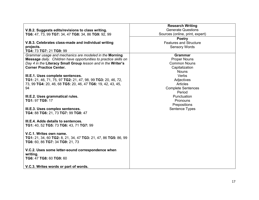|                                                                  | <b>Research Writing</b>         |
|------------------------------------------------------------------|---------------------------------|
| V.B.2. Suggests edits/revisions to class writing.                | <b>Generate Questions</b>       |
| TG6: 47, 73, 99 TG7: 34, 47 TG8: 34, 86 TG9: 92, 99              | Sources (online, print, expert) |
|                                                                  | <b>Poetry</b>                   |
| V.B.3. Celebrates class-made and individual writing              | <b>Features and Structure</b>   |
| projects.                                                        | <b>Sensory Words</b>            |
| TG4: 73 TG7: 21 TG9: 99                                          |                                 |
| Grammar usage and mechanics are modeled in the Morning           | <b>Grammar</b>                  |
| Message daily. Children have opportunities to practice skills on | <b>Proper Nouns</b>             |
| Day 4 in the Literacy Small Group lesson and in the Writer's     | <b>Common Nouns</b>             |
| <b>Corner Practice Center.</b>                                   | Capitalization                  |
|                                                                  | <b>Nouns</b>                    |
| III.E.1. Uses complete sentences.                                | Verbs                           |
| TG1: 21, 46, 71, 75, 97 TG2: 21, 47, 98, 99 TG3: 20, 46, 72,     | Adjectives                      |
| 73, 99 TG4: 20, 46, 68 TG5: 20, 46, 47 TG6: 19, 42, 43, 45,      | Articles                        |
| 94                                                               | <b>Complete Sentences</b>       |
|                                                                  | Period                          |
| III.E.2. Uses grammatical rules.                                 | Punctuation                     |
| TG1: 97 TG9: 17                                                  | Pronouns                        |
|                                                                  | Prepositions                    |
| III.E.3. Uses complex sentences.                                 | Sentence Types                  |
| TG4: 88 TG6: 21, 73 TG7: 99 TG8: 47                              |                                 |
|                                                                  |                                 |
| III.E.4. Adds details to sentences.                              |                                 |
| TG1: 40, 52 TG5: 73 TG6: 43, 71 TG7: 99                          |                                 |
|                                                                  |                                 |
| V.C.1. Writes own name.                                          |                                 |
| TG1: 21, 34, 60 TG2: 8, 21, 34, 47 TG3: 21, 47, 86 TG5: 86, 99   |                                 |
| TG6: 60, 86 TG7: 34 TG9: 21, 73                                  |                                 |
|                                                                  |                                 |
| V.C.2. Uses some letter-sound correspondence when<br>writing.    |                                 |
| TG6: 47 TG8: 60 TG9: 60                                          |                                 |
|                                                                  |                                 |
| V.C.3. Writes words or part of words.                            |                                 |
|                                                                  |                                 |